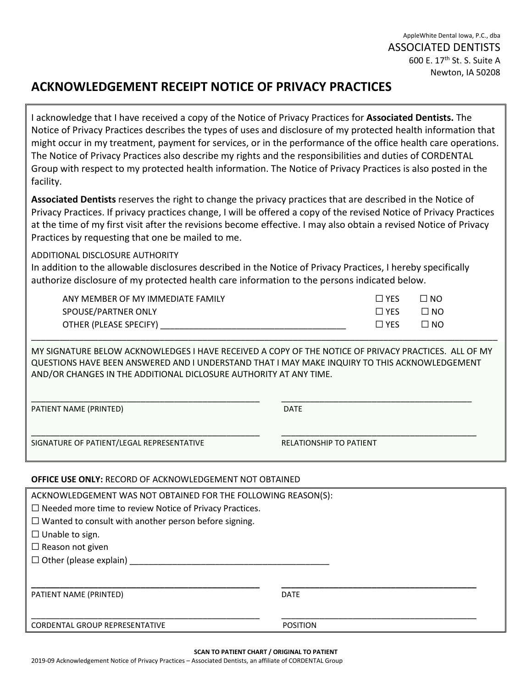AppleWhite Dental Iowa, P.C., dba ASSOCIATED DENTISTS 600 E. 17<sup>th</sup> St. S. Suite A Newton, IA 50208

# **ACKNOWLEDGEMENT RECEIPT NOTICE OF PRIVACY PRACTICES**

I acknowledge that I have received a copy of the Notice of Privacy Practices for **Associated Dentists.** The Notice of Privacy Practices describes the types of uses and disclosure of my protected health information that might occur in my treatment, payment for services, or in the performance of the office health care operations. The Notice of Privacy Practices also describe my rights and the responsibilities and duties of CORDENTAL Group with respect to my protected health information. The Notice of Privacy Practices is also posted in the facility.

**Associated Dentists** reserves the right to change the privacy practices that are described in the Notice of Privacy Practices. If privacy practices change, I will be offered a copy of the revised Notice of Privacy Practices at the time of my first visit after the revisions become effective. I may also obtain a revised Notice of Privacy Practices by requesting that one be mailed to me.

# ADDITIONAL DISCLOSURE AUTHORITY

In addition to the allowable disclosures described in the Notice of Privacy Practices, I hereby specifically authorize disclosure of my protected health care information to the persons indicated below.

| ANY MEMBER OF MY IMMEDIATE FAMILY | ' YES           | ON D      |
|-----------------------------------|-----------------|-----------|
| SPOUSE/PARTNER ONLY               | $\Box$ YES      | $\Box$ NO |
| OTHER (PLEASE SPECIFY)            | $\sqsupset$ YES | ח מר      |
|                                   |                 |           |

MY SIGNATURE BELOW ACKNOWLEDGES I HAVE RECEIVED A COPY OF THE NOTICE OF PRIVACY PRACTICES. ALL OF MY QUESTIONS HAVE BEEN ANSWERED AND I UNDERSTAND THAT I MAY MAKE INQUIRY TO THIS ACKNOWLEDGEMENT AND/OR CHANGES IN THE ADDITIONAL DICLOSURE AUTHORITY AT ANY TIME.

\_\_\_\_\_\_\_\_\_\_\_\_\_\_\_\_\_\_\_\_\_\_\_\_\_\_\_\_\_\_\_\_\_\_\_\_\_\_\_\_\_\_\_\_\_\_\_\_ \_\_\_\_\_\_\_\_\_\_\_\_\_\_\_\_\_\_\_\_\_\_\_\_\_\_\_\_\_\_\_\_\_\_\_\_\_\_\_\_

PATIENT NAME (PRINTED) DATE

\_\_\_\_\_\_\_\_\_\_\_\_\_\_\_\_\_\_\_\_\_\_\_\_\_\_\_\_\_\_\_\_\_\_\_\_\_\_\_\_\_\_\_\_\_\_\_\_ \_\_\_\_\_\_\_\_\_\_\_\_\_\_\_\_\_\_\_\_\_\_\_\_\_\_\_\_\_\_\_\_\_\_\_\_\_\_\_\_\_ SIGNATURE OF PATIENT/LEGAL REPRESENTATIVE **RELATIONSHIP TO PATIENT** 

## **OFFICE USE ONLY:** RECORD OF ACKNOWLEDGEMENT NOT OBTAINED

| ACKNOWLEDGEMENT WAS NOT OBTAINED FOR THE FOLLOWING REASON(S): |
|---------------------------------------------------------------|
|                                                               |
|                                                               |
|                                                               |
|                                                               |
|                                                               |
|                                                               |
| <b>DATE</b>                                                   |
| <b>POSITION</b>                                               |
|                                                               |

**SCAN TO PATIENT CHART / ORIGINAL TO PATIENT**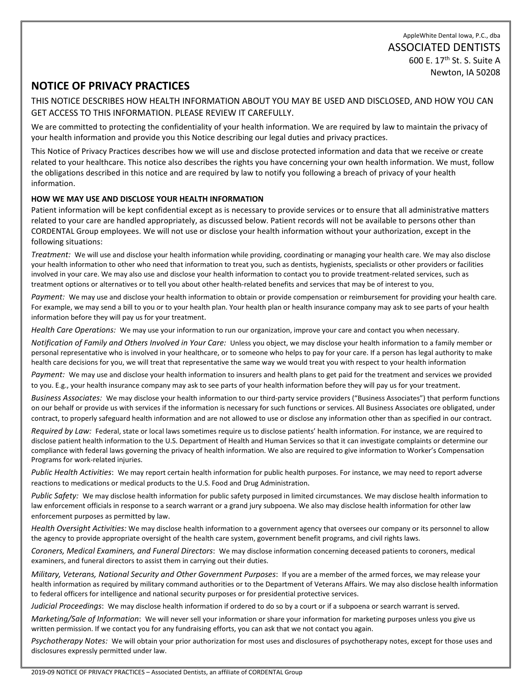# **NOTICE OF PRIVACY PRACTICES**

THIS NOTICE DESCRIBES HOW HEALTH INFORMATION ABOUT YOU MAY BE USED AND DISCLOSED, AND HOW YOU CAN GET ACCESS TO THIS INFORMATION. PLEASE REVIEW IT CAREFULLY.

We are committed to protecting the confidentiality of your health information. We are required by law to maintain the privacy of your health information and provide you this Notice describing our legal duties and privacy practices.

This Notice of Privacy Practices describes how we will use and disclose protected information and data that we receive or create related to your healthcare. This notice also describes the rights you have concerning your own health information. We must, follow the obligations described in this notice and are required by law to notify you following a breach of privacy of your health information.

## **HOW WE MAY USE AND DISCLOSE YOUR HEALTH INFORMATION**

Patient information will be kept confidential except as is necessary to provide services or to ensure that all administrative matters related to your care are handled appropriately, as discussed below. Patient records will not be available to persons other than CORDENTAL Group employees. We will not use or disclose your health information without your authorization, except in the following situations:

*Treatment:* We will use and disclose your health information while providing, coordinating or managing your health care. We may also disclose your health information to other who need that information to treat you, such as dentists, hygienists, specialists or other providers or facilities involved in your care. We may also use and disclose your health information to contact you to provide treatment-related services, such as treatment options or alternatives or to tell you about other health-related benefits and services that may be of interest to you.

*Payment:* We may use and disclose your health information to obtain or provide compensation or reimbursement for providing your health care. For example, we may send a bill to you or to your health plan. Your health plan or health insurance company may ask to see parts of your health information before they will pay us for your treatment.

*Health Care Operations:* We may use your information to run our organization, improve your care and contact you when necessary.

*Notification of Family and Others Involved in Your Care:* Unless you object, we may disclose your health information to a family member or personal representative who is involved in your healthcare, or to someone who helps to pay for your care. If a person has legal authority to make health care decisions for you, we will treat that representative the same way we would treat you with respect to your health information

*Payment:* We may use and disclose your health information to insurers and health plans to get paid for the treatment and services we provided to you. E.g., your health insurance company may ask to see parts of your health information before they will pay us for your treatment.

*Business Associates:* We may disclose your health information to our third-party service providers ("Business Associates") that perform functions on our behalf or provide us with services if the information is necessary for such functions or services. All Business Associates ore obligated, under contract, to properly safeguard health information and are not allowed to use or disclose any information other than as specified in our contract.

*Required by Law:* Federal, state or local laws sometimes require us to disclose patients' health information. For instance, we are required to disclose patient health information to the U.S. Department of Health and Human Services so that it can investigate complaints or determine our compliance with federal laws governing the privacy of health information. We also are required to give information to Worker's Compensation Programs for work-related injuries.

*Public Health Activities*: We may report certain health information for public health purposes. For instance, we may need to report adverse reactions to medications or medical products to the U.S. Food and Drug Administration.

*Public Safety:* We may disclose health information for public safety purposed in limited circumstances. We may disclose health information to law enforcement officials in response to a search warrant or a grand jury subpoena. We also may disclose health information for other law enforcement purposes as permitted by law.

*Health Oversight Activities:* We may disclose health information to a government agency that oversees our company or its personnel to allow the agency to provide appropriate oversight of the health care system, government benefit programs, and civil rights laws.

*Coroners, Medical Examiners, and Funeral Directors*: We may disclose information concerning deceased patients to coroners, medical examiners, and funeral directors to assist them in carrying out their duties.

*Military, Veterans, National Security and Other Government Purposes*: If you are a member of the armed forces, we may release your health information as required by military command authorities or to the Department of Veterans Affairs. We may also disclose health information to federal officers for intelligence and national security purposes or for presidential protective services.

*Judicial Proceedings*: We may disclose health information if ordered to do so by a court or if a subpoena or search warrant is served.

*Marketing/Sale of Information*: We will never sell your information or share your information for marketing purposes unless you give us written permission. If we contact you for any fundraising efforts, you can ask that we not contact you again.

*Psychotherapy Notes:* We will obtain your prior authorization for most uses and disclosures of psychotherapy notes, except for those uses and disclosures expressly permitted under law.